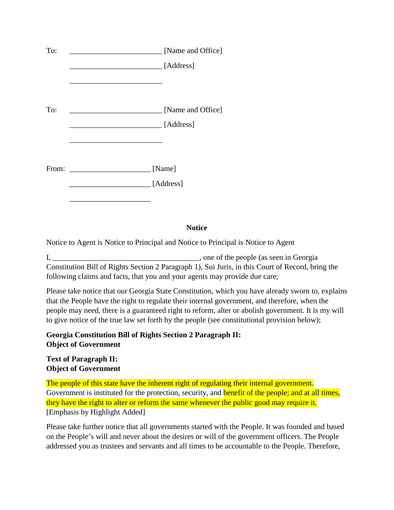| To:   | [Name and Office]                                           |
|-------|-------------------------------------------------------------|
|       | [Address]                                                   |
|       |                                                             |
| To:   | [Name and Office]                                           |
|       | [Address]                                                   |
|       |                                                             |
|       |                                                             |
| From: | [Name]<br><u> 1980 - Jan Samuel Barbara, político e a f</u> |
|       | [Address]                                                   |
|       |                                                             |

## **Notice**

Notice to Agent is Notice to Principal and Notice to Principal is Notice to Agent

I, \_\_\_\_\_\_\_\_\_\_\_\_\_\_\_\_\_\_\_\_\_\_\_\_\_\_\_\_\_\_\_\_\_\_\_, one of the people (as seen in Georgia Constitution Bill of Rights Section 2 Paragraph 1), Sui Juris, in this Court of Record, bring the following claims and facts, that you and your agents may provide due care;

Please take notice that our Georgia State Constitution, which you have already sworn to, explains that the People have the right to regulate their internal government, and therefore, when the people may need, there is a guaranteed right to reform, alter or abolish government. It is my will to give notice of the true law set forth by the people (see constitutional provision below);

## **Georgia Constitution Bill of Rights Section 2 Paragraph II: Object of Government**

**Text of Paragraph II: Object of Government** 

The people of this state have the inherent right of regulating their internal government. Government is instituted for the protection, security, and **benefit of the people; and at all times**, they have the right to alter or reform the same whenever the public good may require it. [Emphasis by Highlight Added]

Please take further notice that all governments started with the People. It was founded and based on the People's will and never about the desires or will of the government officers. The People addressed you as trustees and servants and all times to be accountable to the People. Therefore,